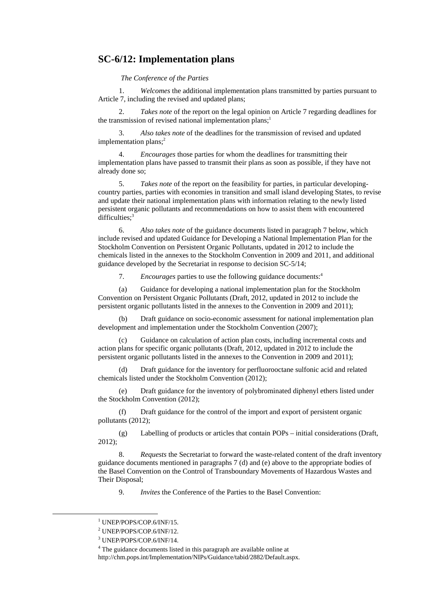## **SC-6/12: Implementation plans**

*The Conference of the Parties* 

1. *Welcomes* the additional implementation plans transmitted by parties pursuant to Article 7, including the revised and updated plans;

2. *Takes note* of the report on the legal opinion on Article 7 regarding deadlines for the transmission of revised national implementation plans; $<sup>1</sup>$ </sup>

3. *Also takes note* of the deadlines for the transmission of revised and updated implementation plans;<sup>2</sup>

4. *Encourages* those parties for whom the deadlines for transmitting their implementation plans have passed to transmit their plans as soon as possible, if they have not already done so;

5. *Takes note* of the report on the feasibility for parties, in particular developingcountry parties, parties with economies in transition and small island developing States, to revise and update their national implementation plans with information relating to the newly listed persistent organic pollutants and recommendations on how to assist them with encountered difficulties: $3$ 

6. *Also takes note* of the guidance documents listed in paragraph 7 below, which include revised and updated Guidance for Developing a National Implementation Plan for the Stockholm Convention on Persistent Organic Pollutants, updated in 2012 to include the chemicals listed in the annexes to the Stockholm Convention in 2009 and 2011, and additional guidance developed by the Secretariat in response to decision SC-5/14;

7. *Encourages* parties to use the following guidance documents:4

(a) Guidance for developing a national implementation plan for the Stockholm Convention on Persistent Organic Pollutants (Draft, 2012, updated in 2012 to include the persistent organic pollutants listed in the annexes to the Convention in 2009 and 2011);

(b) Draft guidance on socio-economic assessment for national implementation plan development and implementation under the Stockholm Convention (2007);

(c) Guidance on calculation of action plan costs, including incremental costs and action plans for specific organic pollutants (Draft, 2012, updated in 2012 to include the persistent organic pollutants listed in the annexes to the Convention in 2009 and 2011);

(d) Draft guidance for the inventory for perfluorooctane sulfonic acid and related chemicals listed under the Stockholm Convention (2012);

(e) Draft guidance for the inventory of polybrominated diphenyl ethers listed under the Stockholm Convention (2012);

(f) Draft guidance for the control of the import and export of persistent organic pollutants (2012);

(g) Labelling of products or articles that contain POPs – initial considerations (Draft, 2012);

8. *Requests* the Secretariat to forward the waste-related content of the draft inventory guidance documents mentioned in paragraphs 7 (d) and (e) above to the appropriate bodies of the Basel Convention on the Control of Transboundary Movements of Hazardous Wastes and Their Disposal;

9. *Invites* the Conference of the Parties to the Basel Convention:

<sup>&</sup>lt;u>1</u> <sup>1</sup> UNEP/POPS/COP.6/INF/15.

<sup>2</sup> UNEP/POPS/COP.6/INF/12.

<sup>3</sup> UNEP/POPS/COP.6/INF/14.

<sup>&</sup>lt;sup>4</sup> The guidance documents listed in this paragraph are available online at

http://chm.pops.int/Implementation/NIPs/Guidance/tabid/2882/Default.aspx.